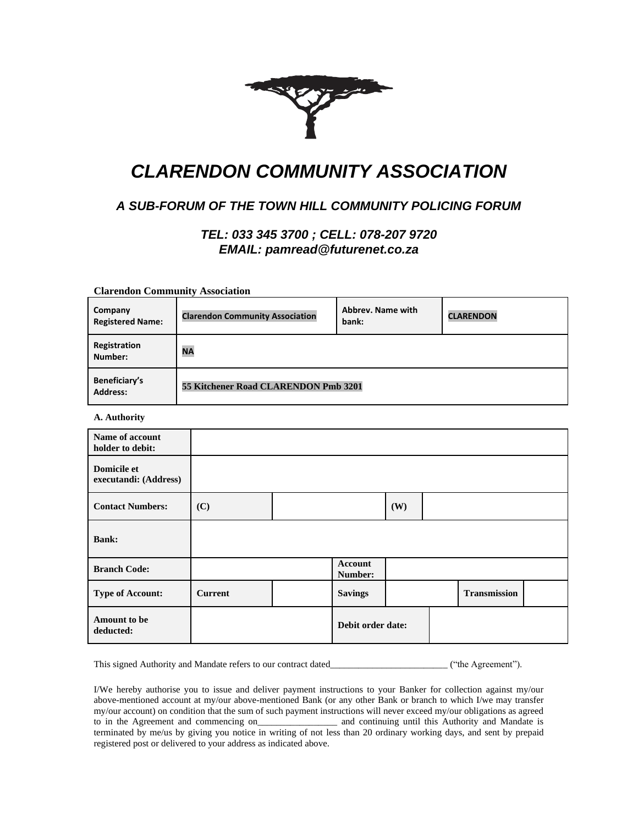

# *CLARENDON COMMUNITY ASSOCIATION*

## *A SUB-FORUM OF THE TOWN HILL COMMUNITY POLICING FORUM*

### *TEL: 033 345 3700 ; CELL: 078-207 9720 EMAIL: pamread@futurenet.co.za*

**Clarendon Community Association**

| Company<br><b>Registered Name:</b> | <b>Clarendon Community Association</b> | Abbrey. Name with<br>bank: | <b>CLARENDON</b> |  |  |  |
|------------------------------------|----------------------------------------|----------------------------|------------------|--|--|--|
| Registration<br>Number:            | <b>NA</b>                              |                            |                  |  |  |  |
| Beneficiary's<br><b>Address:</b>   | 55 Kitchener Road CLARENDON Pmb 3201   |                            |                  |  |  |  |

**A. Authority**

| Name of account<br>holder to debit:         |                |                           |     |                     |  |
|---------------------------------------------|----------------|---------------------------|-----|---------------------|--|
| <b>Domicile et</b><br>executandi: (Address) |                |                           |     |                     |  |
| <b>Contact Numbers:</b>                     | (C)            |                           | (W) |                     |  |
| <b>Bank:</b>                                |                |                           |     |                     |  |
| <b>Branch Code:</b>                         |                | <b>Account</b><br>Number: |     |                     |  |
| <b>Type of Account:</b>                     | <b>Current</b> | <b>Savings</b>            |     | <b>Transmission</b> |  |
| Amount to be<br>deducted:                   |                | Debit order date:         |     |                     |  |

This signed Authority and Mandate refers to our contract dated\_\_\_\_\_\_\_\_\_\_\_\_\_\_\_\_\_\_\_\_\_\_\_\_\_\_\_\_ ("the Agreement").

I/We hereby authorise you to issue and deliver payment instructions to your Banker for collection against my/our above-mentioned account at my/our above-mentioned Bank (or any other Bank or branch to which I/we may transfer my/our account) on condition that the sum of such payment instructions will never exceed my/our obligations as agreed to in the Agreement and commencing on\_\_\_\_\_\_\_\_\_\_\_\_\_\_\_\_\_\_\_\_ and continuing until this Authority and Mandate is terminated by me/us by giving you notice in writing of not less than 20 ordinary working days, and sent by prepaid registered post or delivered to your address as indicated above.